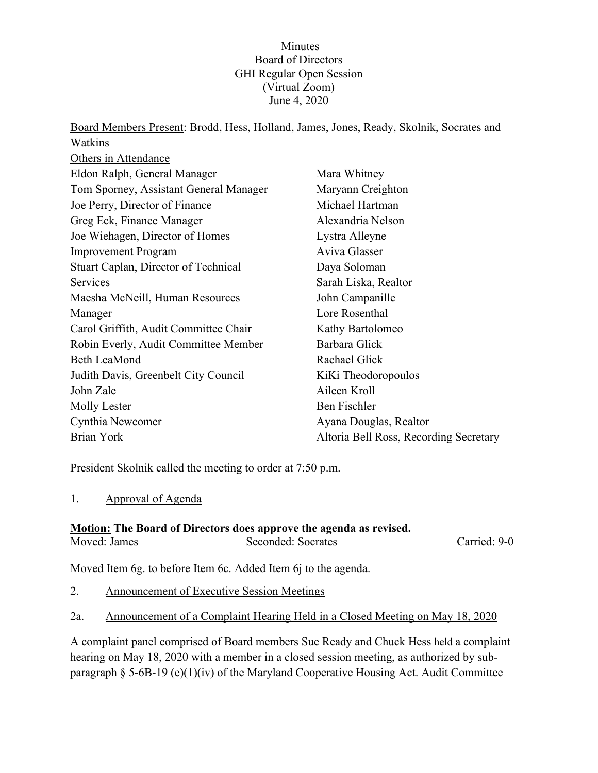Minutes Board of Directors GHI Regular Open Session (Virtual Zoom) June 4, 2020

Board Members Present: Brodd, Hess, Holland, James, Jones, Ready, Skolnik, Socrates and Watkins

| Others in Attendance                   |                                        |
|----------------------------------------|----------------------------------------|
| Eldon Ralph, General Manager           | Mara Whitney                           |
| Tom Sporney, Assistant General Manager | Maryann Creighton                      |
| Joe Perry, Director of Finance         | Michael Hartman                        |
| Greg Eck, Finance Manager              | Alexandria Nelson                      |
| Joe Wiehagen, Director of Homes        | Lystra Alleyne                         |
| <b>Improvement Program</b>             | Aviva Glasser                          |
| Stuart Caplan, Director of Technical   | Daya Soloman                           |
| <b>Services</b>                        | Sarah Liska, Realtor                   |
| Maesha McNeill, Human Resources        | John Campanille                        |
| Manager                                | Lore Rosenthal                         |
| Carol Griffith, Audit Committee Chair  | Kathy Bartolomeo                       |
| Robin Everly, Audit Committee Member   | Barbara Glick                          |
| <b>Beth LeaMond</b>                    | Rachael Glick                          |
| Judith Davis, Greenbelt City Council   | KiKi Theodoropoulos                    |
| John Zale                              | Aileen Kroll                           |
| Molly Lester                           | Ben Fischler                           |
| Cynthia Newcomer                       | Ayana Douglas, Realtor                 |
| Brian York                             | Altoria Bell Ross, Recording Secretary |

President Skolnik called the meeting to order at 7:50 p.m.

#### 1. Approval of Agenda

#### **Motion: The Board of Directors does approve the agenda as revised.** Moved: James Seconded: Socrates Carried: 9-0

Moved Item 6g. to before Item 6c. Added Item 6j to the agenda.

2. Announcement of Executive Session Meetings

#### 2a. Announcement of a Complaint Hearing Held in a Closed Meeting on May 18, 2020

A complaint panel comprised of Board members Sue Ready and Chuck Hess held a complaint hearing on May 18, 2020 with a member in a closed session meeting, as authorized by subparagraph  $\S$  5-6B-19 (e)(1)(iv) of the Maryland Cooperative Housing Act. Audit Committee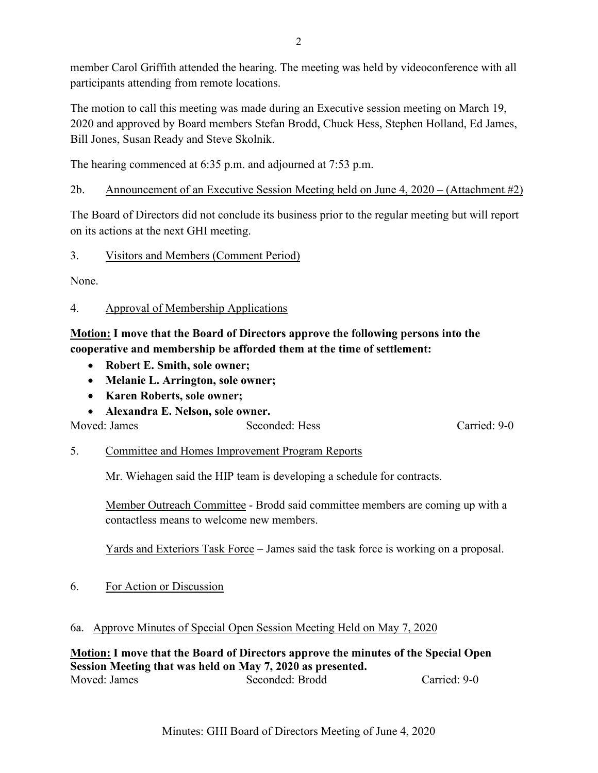member Carol Griffith attended the hearing. The meeting was held by videoconference with all participants attending from remote locations.

The motion to call this meeting was made during an Executive session meeting on March 19, 2020 and approved by Board members Stefan Brodd, Chuck Hess, Stephen Holland, Ed James, Bill Jones, Susan Ready and Steve Skolnik.

The hearing commenced at 6:35 p.m. and adjourned at 7:53 p.m.

2b. Announcement of an Executive Session Meeting held on June 4, 2020 – (Attachment #2)

The Board of Directors did not conclude its business prior to the regular meeting but will report on its actions at the next GHI meeting.

# 3. Visitors and Members (Comment Period)

None.

4. Approval of Membership Applications

**Motion: I move that the Board of Directors approve the following persons into the cooperative and membership be afforded them at the time of settlement:**

- **Robert E. Smith, sole owner;**
- **Melanie L. Arrington, sole owner;**
- **Karen Roberts, sole owner;**
- **Alexandra E. Nelson, sole owner.**

Moved: James Seconded: Hess Carried: 9-0

5. Committee and Homes Improvement Program Reports

Mr. Wiehagen said the HIP team is developing a schedule for contracts.

Member Outreach Committee - Brodd said committee members are coming up with a contactless means to welcome new members.

Yards and Exteriors Task Force – James said the task force is working on a proposal.

6. For Action or Discussion

# 6a. Approve Minutes of Special Open Session Meeting Held on May 7, 2020

**Motion: I move that the Board of Directors approve the minutes of the Special Open Session Meeting that was held on May 7, 2020 as presented.** Moved: James Seconded: Brodd Carried: 9-0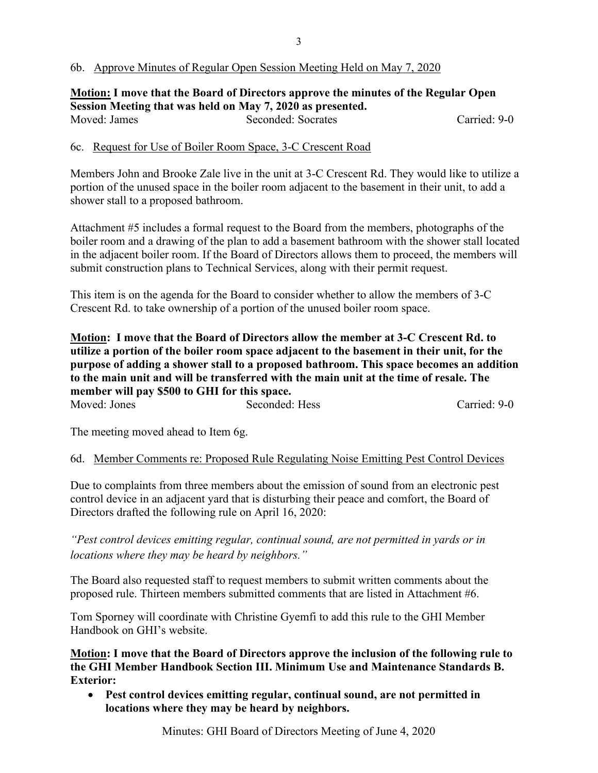### 6b. Approve Minutes of Regular Open Session Meeting Held on May 7, 2020

**Motion: I move that the Board of Directors approve the minutes of the Regular Open Session Meeting that was held on May 7, 2020 as presented.** Moved: James Seconded: Socrates Carried: 9-0

6c. Request for Use of Boiler Room Space, 3-C Crescent Road

Members John and Brooke Zale live in the unit at 3-C Crescent Rd. They would like to utilize a portion of the unused space in the boiler room adjacent to the basement in their unit, to add a shower stall to a proposed bathroom.

Attachment #5 includes a formal request to the Board from the members, photographs of the boiler room and a drawing of the plan to add a basement bathroom with the shower stall located in the adjacent boiler room. If the Board of Directors allows them to proceed, the members will submit construction plans to Technical Services, along with their permit request.

This item is on the agenda for the Board to consider whether to allow the members of 3-C Crescent Rd. to take ownership of a portion of the unused boiler room space.

**Motion: I move that the Board of Directors allow the member at 3-C Crescent Rd. to utilize a portion of the boiler room space adjacent to the basement in their unit, for the purpose of adding a shower stall to a proposed bathroom. This space becomes an addition to the main unit and will be transferred with the main unit at the time of resale. The member will pay \$500 to GHI for this space.**<br>Moved: Jones Seconded: Seconded: Hess Carried: 9-0

The meeting moved ahead to Item 6g.

6d. Member Comments re: Proposed Rule Regulating Noise Emitting Pest Control Devices

Due to complaints from three members about the emission of sound from an electronic pest control device in an adjacent yard that is disturbing their peace and comfort, the Board of Directors drafted the following rule on April 16, 2020:

*"Pest control devices emitting regular, continual sound, are not permitted in yards or in locations where they may be heard by neighbors."*

The Board also requested staff to request members to submit written comments about the proposed rule. Thirteen members submitted comments that are listed in Attachment #6.

Tom Sporney will coordinate with Christine Gyemfi to add this rule to the GHI Member Handbook on GHI's website.

**Motion: I move that the Board of Directors approve the inclusion of the following rule to the GHI Member Handbook Section III. Minimum Use and Maintenance Standards B. Exterior:**

• **Pest control devices emitting regular, continual sound, are not permitted in locations where they may be heard by neighbors.**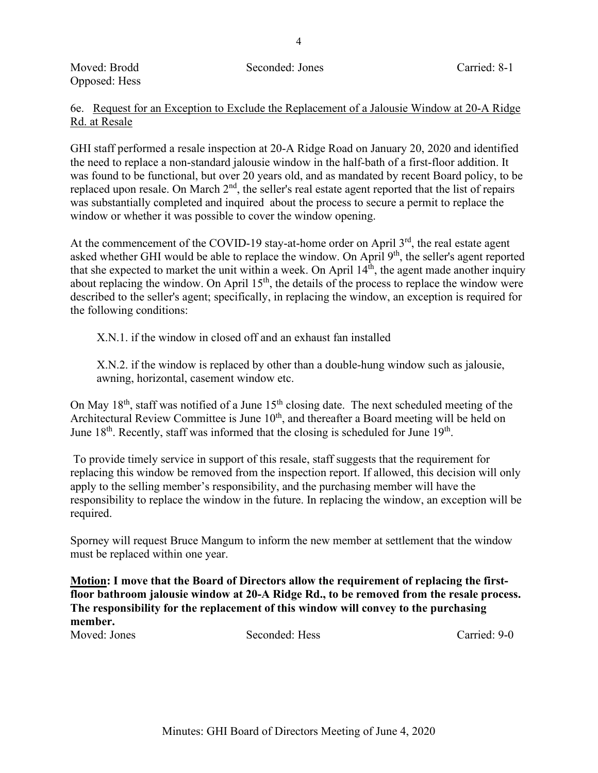| Moved: Brodd  | Seconded: Jones | Carried: 8-1 |
|---------------|-----------------|--------------|
| Opposed: Hess |                 |              |

#### 6e. Request for an Exception to Exclude the Replacement of a Jalousie Window at 20-A Ridge Rd. at Resale

GHI staff performed a resale inspection at 20-A Ridge Road on January 20, 2020 and identified the need to replace a non-standard jalousie window in the half-bath of a first-floor addition. It was found to be functional, but over 20 years old, and as mandated by recent Board policy, to be replaced upon resale. On March 2<sup>nd</sup>, the seller's real estate agent reported that the list of repairs was substantially completed and inquired about the process to secure a permit to replace the window or whether it was possible to cover the window opening.

At the commencement of the COVID-19 stay-at-home order on April  $3<sup>rd</sup>$ , the real estate agent asked whether GHI would be able to replace the window. On April 9<sup>th</sup>, the seller's agent reported that she expected to market the unit within a week. On April  $14<sup>th</sup>$ , the agent made another inquiry about replacing the window. On April  $15<sup>th</sup>$ , the details of the process to replace the window were described to the seller's agent; specifically, in replacing the window, an exception is required for the following conditions:

X.N.1. if the window in closed off and an exhaust fan installed

X.N.2. if the window is replaced by other than a double-hung window such as jalousie, awning, horizontal, casement window etc.

On May  $18<sup>th</sup>$ , staff was notified of a June  $15<sup>th</sup>$  closing date. The next scheduled meeting of the Architectural Review Committee is June  $10<sup>th</sup>$ , and thereafter a Board meeting will be held on June  $18<sup>th</sup>$ . Recently, staff was informed that the closing is scheduled for June  $19<sup>th</sup>$ .

To provide timely service in support of this resale, staff suggests that the requirement for replacing this window be removed from the inspection report. If allowed, this decision will only apply to the selling member's responsibility, and the purchasing member will have the responsibility to replace the window in the future. In replacing the window, an exception will be required.

Sporney will request Bruce Mangum to inform the new member at settlement that the window must be replaced within one year.

**Motion: I move that the Board of Directors allow the requirement of replacing the firstfloor bathroom jalousie window at 20-A Ridge Rd., to be removed from the resale process. The responsibility for the replacement of this window will convey to the purchasing member.**

Moved: Jones Seconded: Hess Carried: 9-0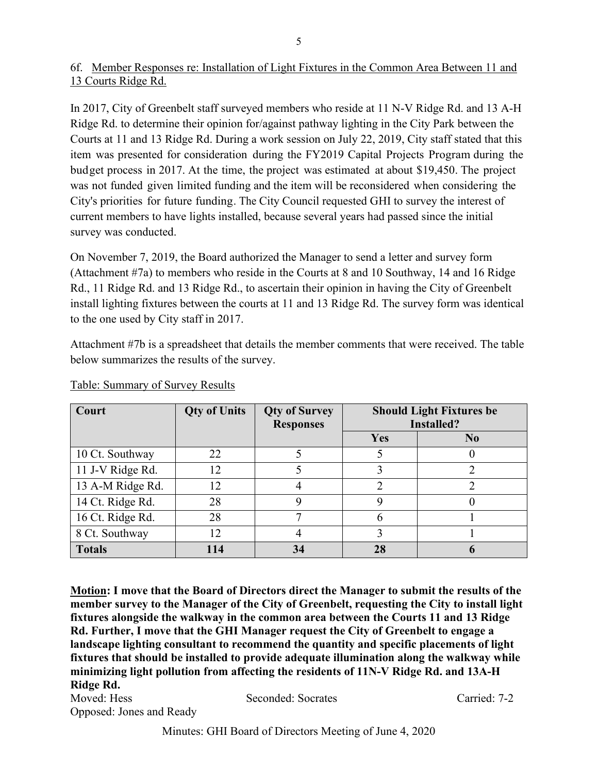# 6f. Member Responses re: Installation of Light Fixtures in the Common Area Between 11 and 13 Courts Ridge Rd.

In 2017, City of Greenbelt staff surveyed members who reside at 11 N-V Ridge Rd. and 13 A-H Ridge Rd. to determine their opinion for/against pathway lighting in the City Park between the Courts at 11 and 13 Ridge Rd. During a work session on July 22, 2019, City staff stated that this item was presented for consideration during the FY2019 Capital Projects Program during the budget process in 2017. At the time, the project was estimated at about \$19,450. The project was not funded given limited funding and the item will be reconsidered when considering the City's priorities for future funding. The City Council requested GHI to survey the interest of current members to have lights installed, because several years had passed since the initial survey was conducted.

On November 7, 2019, the Board authorized the Manager to send a letter and survey form (Attachment #7a) to members who reside in the Courts at 8 and 10 Southway, 14 and 16 Ridge Rd., 11 Ridge Rd. and 13 Ridge Rd., to ascertain their opinion in having the City of Greenbelt install lighting fixtures between the courts at 11 and 13 Ridge Rd. The survey form was identical to the one used by City staff in 2017.

Attachment #7b is a spreadsheet that details the member comments that were received. The table below summarizes the results of the survey.

| Court            | <b>Qty of Units</b> | <b>Qty of Survey</b><br><b>Responses</b> | <b>Should Light Fixtures be</b><br><b>Installed?</b> |                |
|------------------|---------------------|------------------------------------------|------------------------------------------------------|----------------|
|                  |                     |                                          | Yes                                                  | N <sub>0</sub> |
| 10 Ct. Southway  | 22                  |                                          |                                                      |                |
| 11 J-V Ridge Rd. | 12                  |                                          |                                                      |                |
| 13 A-M Ridge Rd. | 12                  |                                          |                                                      |                |
| 14 Ct. Ridge Rd. | 28                  |                                          | 9                                                    |                |
| 16 Ct. Ridge Rd. | 28                  |                                          | h                                                    |                |
| 8 Ct. Southway   | 12                  |                                          |                                                      |                |
| <b>Totals</b>    | 114                 | 34                                       | 28                                                   |                |

# Table: Summary of Survey Results

**Motion: I move that the Board of Directors direct the Manager to submit the results of the member survey to the Manager of the City of Greenbelt, requesting the City to install light fixtures alongside the walkway in the common area between the Courts 11 and 13 Ridge Rd. Further, I move that the GHI Manager request the City of Greenbelt to engage a landscape lighting consultant to recommend the quantity and specific placements of light fixtures that should be installed to provide adequate illumination along the walkway while minimizing light pollution from affecting the residents of 11N-V Ridge Rd. and 13A-H Ridge Rd.**

Moved: Hess Seconded: Socrates Carried: 7-2 Opposed: Jones and Ready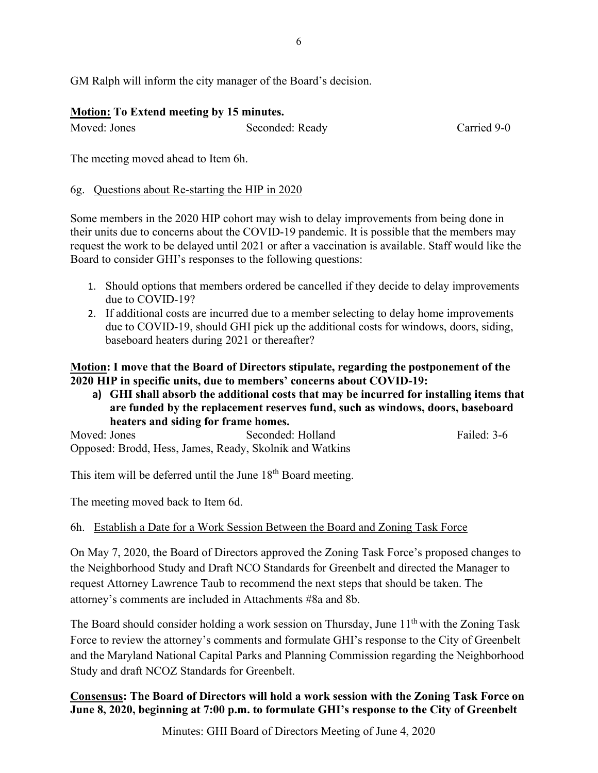GM Ralph will inform the city manager of the Board's decision.

# **Motion: To Extend meeting by 15 minutes.**

Moved: Jones Seconded: Ready Carried 9-0

The meeting moved ahead to Item 6h.

### 6g. Questions about Re-starting the HIP in 2020

Some members in the 2020 HIP cohort may wish to delay improvements from being done in their units due to concerns about the COVID-19 pandemic. It is possible that the members may request the work to be delayed until 2021 or after a vaccination is available. Staff would like the Board to consider GHI's responses to the following questions:

- 1. Should options that members ordered be cancelled if they decide to delay improvements due to COVID-19?
- 2. If additional costs are incurred due to a member selecting to delay home improvements due to COVID-19, should GHI pick up the additional costs for windows, doors, siding, baseboard heaters during 2021 or thereafter?

**Motion: I move that the Board of Directors stipulate, regarding the postponement of the 2020 HIP in specific units, due to members' concerns about COVID-19:**

**a) GHI shall absorb the additional costs that may be incurred for installing items that are funded by the replacement reserves fund, such as windows, doors, baseboard heaters and siding for frame homes.**

| Moved: Jones | Seconded: Holland                                       | Failed: 3-6 |
|--------------|---------------------------------------------------------|-------------|
|              | Opposed: Brodd, Hess, James, Ready, Skolnik and Watkins |             |

This item will be deferred until the June 18<sup>th</sup> Board meeting.

The meeting moved back to Item 6d.

# 6h. Establish a Date for a Work Session Between the Board and Zoning Task Force

On May 7, 2020, the Board of Directors approved the Zoning Task Force's proposed changes to the Neighborhood Study and Draft NCO Standards for Greenbelt and directed the Manager to request Attorney Lawrence Taub to recommend the next steps that should be taken. The attorney's comments are included in Attachments #8a and 8b.

The Board should consider holding a work session on Thursday, June  $11<sup>th</sup>$  with the Zoning Task Force to review the attorney's comments and formulate GHI's response to the City of Greenbelt and the Maryland National Capital Parks and Planning Commission regarding the Neighborhood Study and draft NCOZ Standards for Greenbelt.

**Consensus: The Board of Directors will hold a work session with the Zoning Task Force on June 8, 2020, beginning at 7:00 p.m. to formulate GHI's response to the City of Greenbelt** 

Minutes: GHI Board of Directors Meeting of June 4, 2020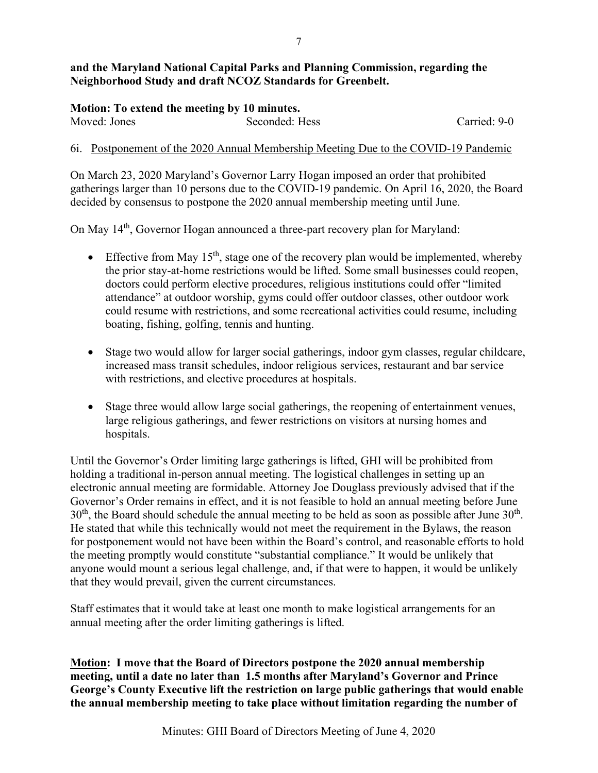### **and the Maryland National Capital Parks and Planning Commission, regarding the Neighborhood Study and draft NCOZ Standards for Greenbelt.**

| Motion: To extend the meeting by 10 minutes. |                |              |  |
|----------------------------------------------|----------------|--------------|--|
| Moved: Jones                                 | Seconded: Hess | Carried: 9-0 |  |

### 6i. Postponement of the 2020 Annual Membership Meeting Due to the COVID-19 Pandemic

On March 23, 2020 Maryland's Governor Larry Hogan imposed an order that prohibited gatherings larger than 10 persons due to the COVID-19 pandemic. On April 16, 2020, the Board decided by consensus to postpone the 2020 annual membership meeting until June.

On May 14th, Governor Hogan announced a three-part recovery plan for Maryland:

- Effective from May  $15<sup>th</sup>$ , stage one of the recovery plan would be implemented, whereby the prior stay-at-home restrictions would be lifted. Some small businesses could reopen, doctors could perform elective procedures, religious institutions could offer "limited attendance" at outdoor worship, gyms could offer outdoor classes, other outdoor work could resume with restrictions, and some recreational activities could resume, including boating, fishing, golfing, tennis and hunting.
- Stage two would allow for larger social gatherings, indoor gym classes, regular childcare, increased mass transit schedules, indoor religious services, restaurant and bar service with restrictions, and elective procedures at hospitals.
- Stage three would allow large social gatherings, the reopening of entertainment venues, large religious gatherings, and fewer restrictions on visitors at nursing homes and hospitals.

Until the Governor's Order limiting large gatherings is lifted, GHI will be prohibited from holding a traditional in-person annual meeting. The logistical challenges in setting up an electronic annual meeting are formidable. Attorney Joe Douglass previously advised that if the Governor's Order remains in effect, and it is not feasible to hold an annual meeting before June  $30<sup>th</sup>$ , the Board should schedule the annual meeting to be held as soon as possible after June  $30<sup>th</sup>$ . He stated that while this technically would not meet the requirement in the Bylaws, the reason for postponement would not have been within the Board's control, and reasonable efforts to hold the meeting promptly would constitute "substantial compliance." It would be unlikely that anyone would mount a serious legal challenge, and, if that were to happen, it would be unlikely that they would prevail, given the current circumstances.

Staff estimates that it would take at least one month to make logistical arrangements for an annual meeting after the order limiting gatherings is lifted.

**Motion: I move that the Board of Directors postpone the 2020 annual membership meeting, until a date no later than 1.5 months after Maryland's Governor and Prince George's County Executive lift the restriction on large public gatherings that would enable the annual membership meeting to take place without limitation regarding the number of**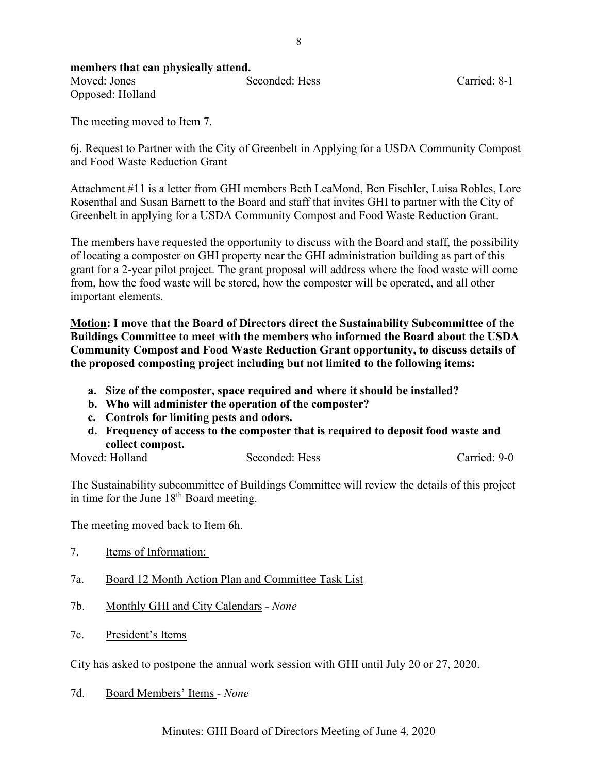### **members that can physically attend.**

Moved: Jones Seconded: Hess Carried: 8-1 Opposed: Holland

The meeting moved to Item 7.

### 6j. Request to Partner with the City of Greenbelt in Applying for a USDA Community Compost and Food Waste Reduction Grant

Attachment #11 is a letter from GHI members Beth LeaMond, Ben Fischler, Luisa Robles, Lore Rosenthal and Susan Barnett to the Board and staff that invites GHI to partner with the City of Greenbelt in applying for a USDA Community Compost and Food Waste Reduction Grant.

The members have requested the opportunity to discuss with the Board and staff, the possibility of locating a composter on GHI property near the GHI administration building as part of this grant for a 2-year pilot project. The grant proposal will address where the food waste will come from, how the food waste will be stored, how the composter will be operated, and all other important elements.

**Motion: I move that the Board of Directors direct the Sustainability Subcommittee of the Buildings Committee to meet with the members who informed the Board about the USDA Community Compost and Food Waste Reduction Grant opportunity, to discuss details of the proposed composting project including but not limited to the following items:**

- **a. Size of the composter, space required and where it should be installed?**
- **b. Who will administer the operation of the composter?**
- **c. Controls for limiting pests and odors.**
- **d. Frequency of access to the composter that is required to deposit food waste and collect compost.**

| Moved: Holland | Seconded: Hess | Carried: 9-0 |
|----------------|----------------|--------------|
|                |                |              |

The Sustainability subcommittee of Buildings Committee will review the details of this project in time for the June  $18<sup>th</sup>$  Board meeting.

The meeting moved back to Item 6h.

- 7. Items of Information:
- 7a. Board 12 Month Action Plan and Committee Task List
- 7b. Monthly GHI and City Calendars *None*
- 7c. President's Items

City has asked to postpone the annual work session with GHI until July 20 or 27, 2020.

7d. Board Members' Items - *None*